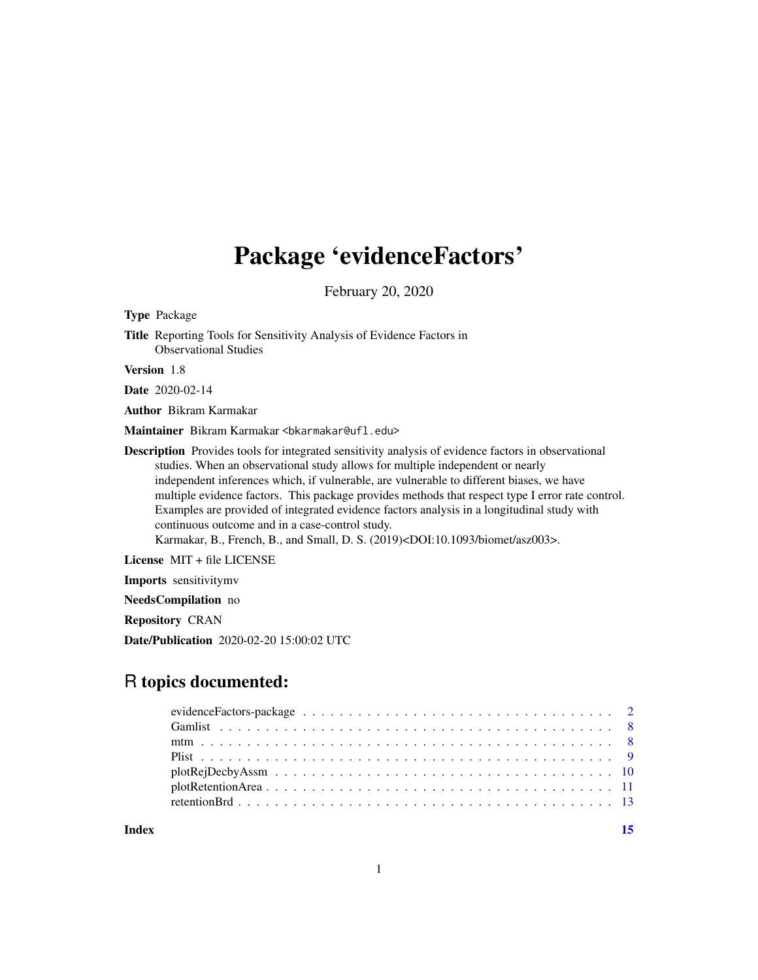## Package 'evidenceFactors'

February 20, 2020

Type Package Title Reporting Tools for Sensitivity Analysis of Evidence Factors in Observational Studies Version 1.8 Date 2020-02-14 Author Bikram Karmakar Maintainer Bikram Karmakar <br/>bkarmakar@ufl.edu>

Description Provides tools for integrated sensitivity analysis of evidence factors in observational studies. When an observational study allows for multiple independent or nearly independent inferences which, if vulnerable, are vulnerable to different biases, we have multiple evidence factors. This package provides methods that respect type I error rate control. Examples are provided of integrated evidence factors analysis in a longitudinal study with continuous outcome and in a case-control study.

Karmakar, B., French, B., and Small, D. S. (2019)<DOI:10.1093/biomet/asz003>.

License MIT + file LICENSE

Imports sensitivitymv

NeedsCompilation no

Repository CRAN

Date/Publication 2020-02-20 15:00:02 UTC

## R topics documented:

**Index** [15](#page-14-0)

1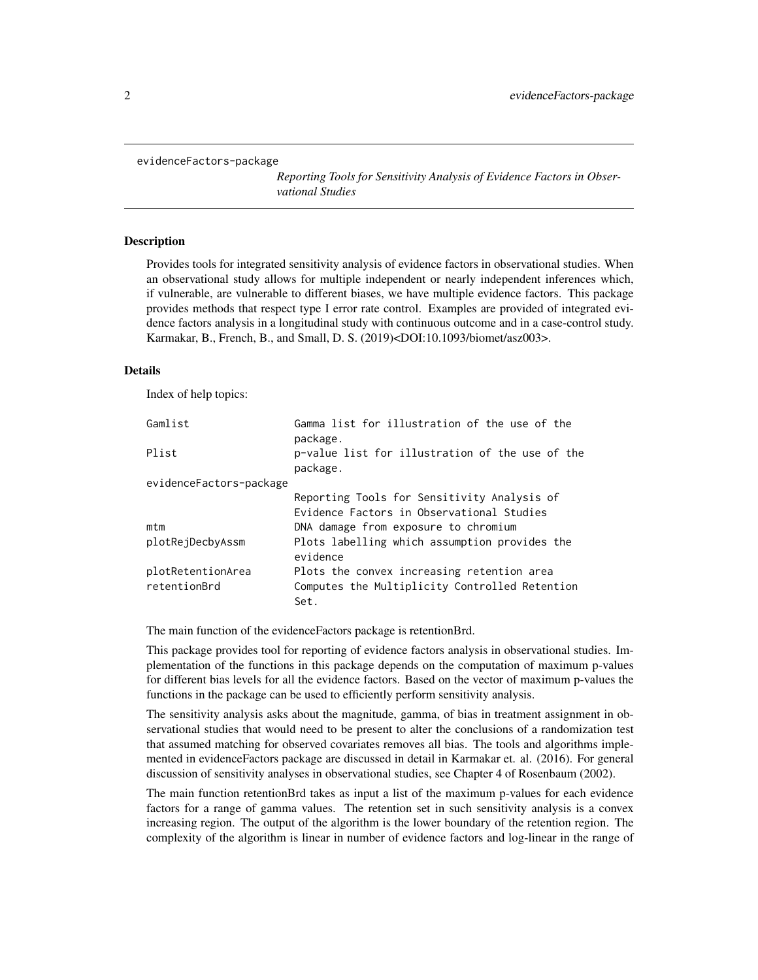<span id="page-1-0"></span>evidenceFactors-package

*Reporting Tools for Sensitivity Analysis of Evidence Factors in Observational Studies*

### Description

Provides tools for integrated sensitivity analysis of evidence factors in observational studies. When an observational study allows for multiple independent or nearly independent inferences which, if vulnerable, are vulnerable to different biases, we have multiple evidence factors. This package provides methods that respect type I error rate control. Examples are provided of integrated evidence factors analysis in a longitudinal study with continuous outcome and in a case-control study. Karmakar, B., French, B., and Small, D. S. (2019)<DOI:10.1093/biomet/asz003>.

## Details

Index of help topics:

| Gamlist                 | Gamma list for illustration of the use of the<br>package.                                |
|-------------------------|------------------------------------------------------------------------------------------|
| Plist                   | p-value list for illustration of the use of the<br>package.                              |
| evidenceFactors-package |                                                                                          |
|                         | Reporting Tools for Sensitivity Analysis of<br>Evidence Factors in Observational Studies |
| mtm                     | DNA damage from exposure to chromium                                                     |
| plotRejDecbyAssm        | Plots labelling which assumption provides the<br>evidence                                |
| plotRetentionArea       | Plots the convex increasing retention area                                               |
| retentionBrd            | Computes the Multiplicity Controlled Retention<br>Set.                                   |

The main function of the evidenceFactors package is retentionBrd.

This package provides tool for reporting of evidence factors analysis in observational studies. Implementation of the functions in this package depends on the computation of maximum p-values for different bias levels for all the evidence factors. Based on the vector of maximum p-values the functions in the package can be used to efficiently perform sensitivity analysis.

The sensitivity analysis asks about the magnitude, gamma, of bias in treatment assignment in observational studies that would need to be present to alter the conclusions of a randomization test that assumed matching for observed covariates removes all bias. The tools and algorithms implemented in evidenceFactors package are discussed in detail in Karmakar et. al. (2016). For general discussion of sensitivity analyses in observational studies, see Chapter 4 of Rosenbaum (2002).

The main function retentionBrd takes as input a list of the maximum p-values for each evidence factors for a range of gamma values. The retention set in such sensitivity analysis is a convex increasing region. The output of the algorithm is the lower boundary of the retention region. The complexity of the algorithm is linear in number of evidence factors and log-linear in the range of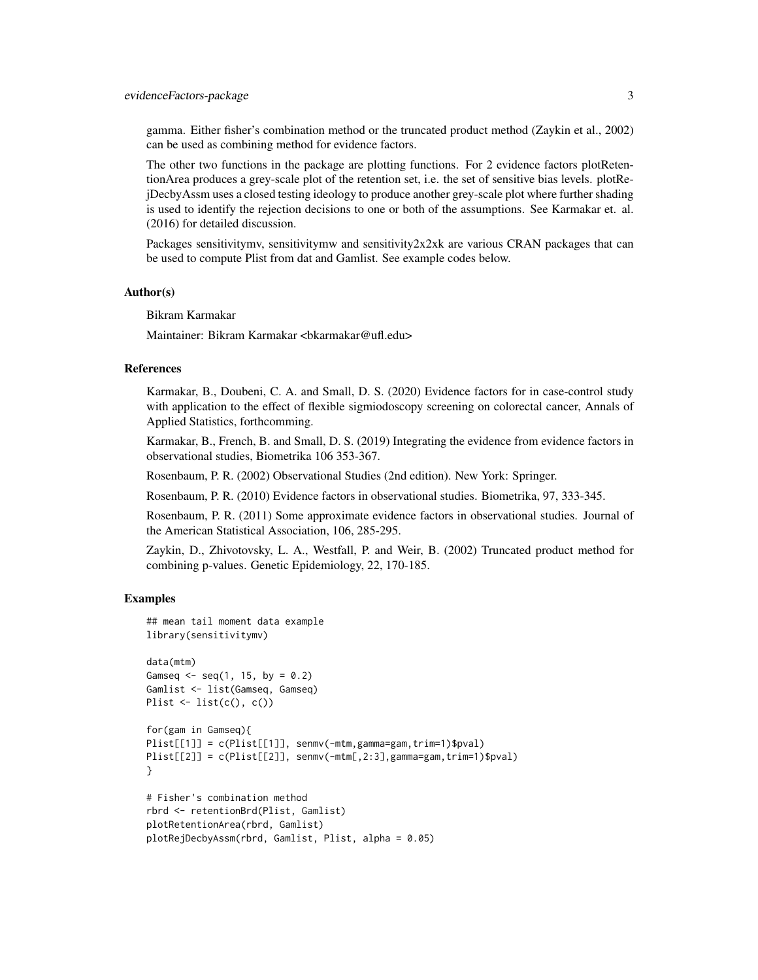gamma. Either fisher's combination method or the truncated product method (Zaykin et al., 2002) can be used as combining method for evidence factors.

The other two functions in the package are plotting functions. For 2 evidence factors plotRetentionArea produces a grey-scale plot of the retention set, i.e. the set of sensitive bias levels. plotRejDecbyAssm uses a closed testing ideology to produce another grey-scale plot where further shading is used to identify the rejection decisions to one or both of the assumptions. See Karmakar et. al. (2016) for detailed discussion.

Packages sensitivitymv, sensitivitymw and sensitivity2x2xk are various CRAN packages that can be used to compute Plist from dat and Gamlist. See example codes below.

#### Author(s)

Bikram Karmakar

Maintainer: Bikram Karmakar <bkarmakar@ufl.edu>

## References

Karmakar, B., Doubeni, C. A. and Small, D. S. (2020) Evidence factors for in case-control study with application to the effect of flexible sigmiodoscopy screening on colorectal cancer, Annals of Applied Statistics, forthcomming.

Karmakar, B., French, B. and Small, D. S. (2019) Integrating the evidence from evidence factors in observational studies, Biometrika 106 353-367.

Rosenbaum, P. R. (2002) Observational Studies (2nd edition). New York: Springer.

Rosenbaum, P. R. (2010) Evidence factors in observational studies. Biometrika, 97, 333-345.

Rosenbaum, P. R. (2011) Some approximate evidence factors in observational studies. Journal of the American Statistical Association, 106, 285-295.

Zaykin, D., Zhivotovsky, L. A., Westfall, P. and Weir, B. (2002) Truncated product method for combining p-values. Genetic Epidemiology, 22, 170-185.

## Examples

```
## mean tail moment data example
library(sensitivitymv)
data(mtm)
Gamseq \leq seq(1, 15, by = 0.2)
Gamlist <- list(Gamseq, Gamseq)
Plist \leftarrow list(c(), c()for(gam in Gamseq){
Plist[[1]] = c(Plist[[1]], senmv(-mtm,gamma=gam,trim=1)$pval)
Plist[[2]] = c(Plist[[2]], semmv(-mtm[, 2:3], gamma=gam, trim=1)$pval)
}
# Fisher's combination method
rbrd <- retentionBrd(Plist, Gamlist)
plotRetentionArea(rbrd, Gamlist)
plotRejDecbyAssm(rbrd, Gamlist, Plist, alpha = 0.05)
```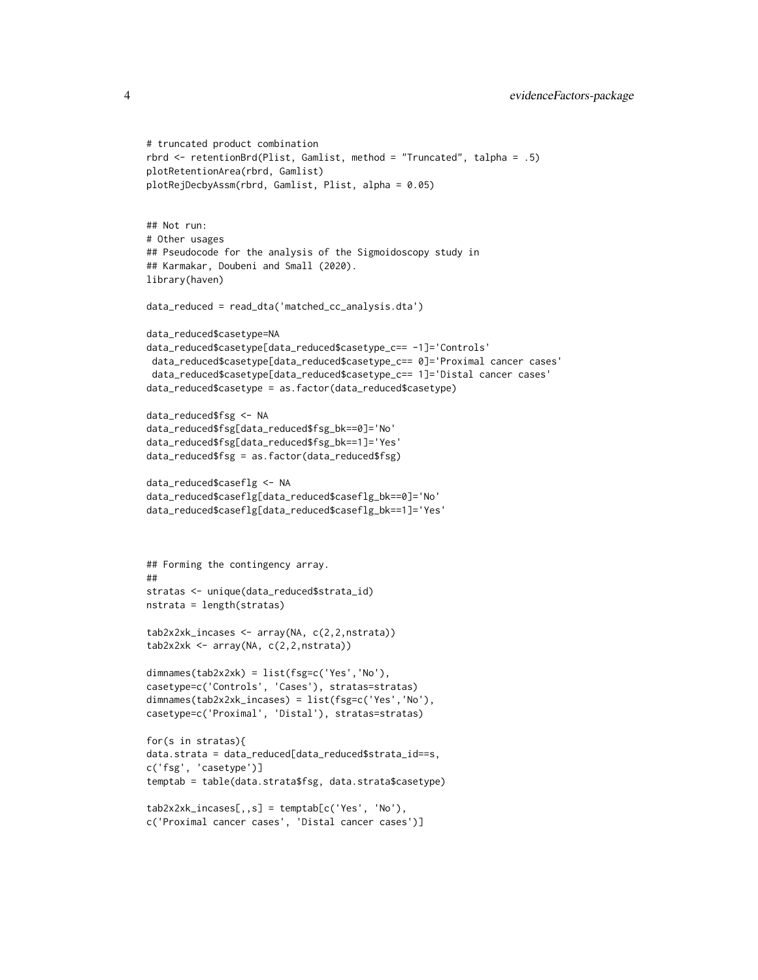```
# truncated product combination
rbrd <- retentionBrd(Plist, Gamlist, method = "Truncated", talpha = .5)
plotRetentionArea(rbrd, Gamlist)
plotRejDecbyAssm(rbrd, Gamlist, Plist, alpha = 0.05)
## Not run:
# Other usages
## Pseudocode for the analysis of the Sigmoidoscopy study in
## Karmakar, Doubeni and Small (2020).
library(haven)
data_reduced = read_dta('matched_cc_analysis.dta')
data_reduced$casetype=NA
data_reduced$casetype[data_reduced$casetype_c== -1]='Controls'
data_reduced$casetype[data_reduced$casetype_c== 0]='Proximal cancer cases'
data_reduced$casetype[data_reduced$casetype_c== 1]='Distal cancer cases'
data_reduced$casetype = as.factor(data_reduced$casetype)
data_reduced$fsg <- NA
data_reduced$fsg[data_reduced$fsg_bk==0]='No'
data_reduced$fsg[data_reduced$fsg_bk==1]='Yes'
data_reduced$fsg = as.factor(data_reduced$fsg)
data_reduced$caseflg <- NA
data_reduced$caseflg[data_reduced$caseflg_bk==0]='No'
data_reduced$caseflg[data_reduced$caseflg_bk==1]='Yes'
## Forming the contingency array.
##
stratas <- unique(data_reduced$strata_id)
nstrata = length(stratas)
tab2x2xk_incases <- array(NA, c(2,2,nstrata))
tab2x2xk <- array(NA, c(2,2,nstrata))
dimnames(tab2x2xk) = list(fsg=c('Yes','No'),
casetype=c('Controls', 'Cases'), stratas=stratas)
dimnames(tab2x2xk_incases) = list(fsg=c('Yes','No'),
casetype=c('Proximal', 'Distal'), stratas=stratas)
for(s in stratas){
data.strata = data_reduced[data_reduced$strata_id==s,
c('fsg', 'casetype')]
temptab = table(data.strata$fsg, data.strata$casetype)
tab2x2xk_incases[,,s] = temptab[c('Yes', 'No'),
c('Proximal cancer cases', 'Distal cancer cases')]
```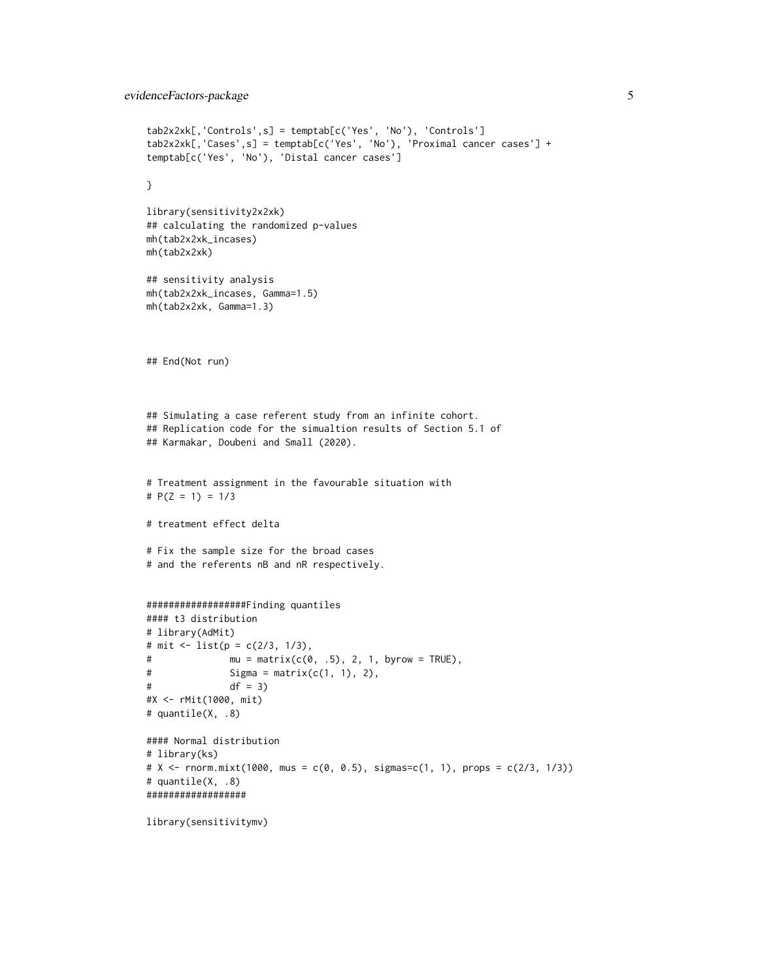## evidenceFactors-package 5

```
tab2x2xk[,'Controls',s] = temptab[c('Yes', 'No'), 'Controls']
tab2x2xk[,'Cases',s] = temptab[c('Yes', 'No'), 'Proximal cancer cases'] +
temptab[c('Yes', 'No'), 'Distal cancer cases']
}
library(sensitivity2x2xk)
## calculating the randomized p-values
mh(tab2x2xk_incases)
mh(tab2x2xk)
## sensitivity analysis
mh(tab2x2xk_incases, Gamma=1.5)
mh(tab2x2xk, Gamma=1.3)
## End(Not run)
## Simulating a case referent study from an infinite cohort.
## Replication code for the simualtion results of Section 5.1 of
## Karmakar, Doubeni and Small (2020).
# Treatment assignment in the favourable situation with
# P(Z = 1) = 1/3
# treatment effect delta
# Fix the sample size for the broad cases
# and the referents nB and nR respectively.
##################Finding quantiles
#### t3 distribution
# library(AdMit)
# mit <- list(p = c(2/3, 1/3),
# mu = matrix(c(0, .5), 2, 1, byrow = TRUE),# Sigma = matrix(c(1, 1), 2),# \t df = 3)#X <- rMit(1000, mit)
# quantile(X, .8)
#### Normal distribution
# library(ks)
# X <- rnorm.mixt(1000, mus = c(0, 0.5), sigmas=c(1, 1), props = c(2/3, 1/3))
# quantile(X, .8)
##################
library(sensitivitymv)
```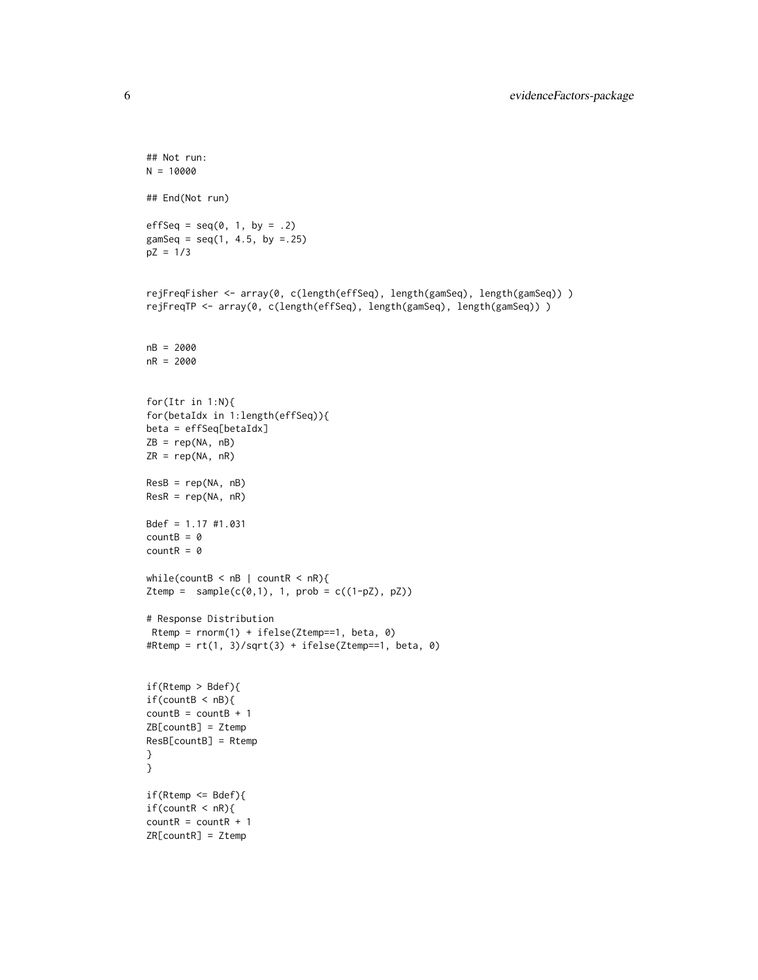```
## Not run:
N = 10000## End(Not run)
effSeq = seq(0, 1, by = .2)gamSeq = seq(1, 4.5, by = .25)pZ = 1/3
rejFreqFisher <- array(0, c(length(effSeq), length(gamSeq), length(gamSeq)) )
rejFreqTP <- array(0, c(length(effSeq), length(gamSeq), length(gamSeq)) )
nB = 2000
nR = 2000
for(Itr in 1:N){
for(betaIdx in 1:length(effSeq)){
beta = effSeq[betaIdx]
ZB = rep(NA, nB)
ZR = rep(NA, nR)
ResB = rep(NA, nB)ResR = rep(NA, nR)
Bdef = 1.17 #1.031
countB = 0countR = 0while(countB < nB | countR < nR){
Ztemp = sample(c(\emptyset,1), 1, prob = c((1-pZ), pZ))# Response Distribution
Rtemp = rnorm(1) + ifelse(Ztemp==1, beta, 0)
#Rtemp = rt(1, 3)/sqrt(3) + ifelse(Ztemp==1, beta, 0)if(Rtemp > Bdef){
if(countB < nB){
countB = countB + 1ZB[countB] = Ztemp
ResB[countB] = Rtemp
}
}
if(Rtemp <= Bdef){
if(countR < nR){
countR = countR + 1ZR[countR] = Ztemp
```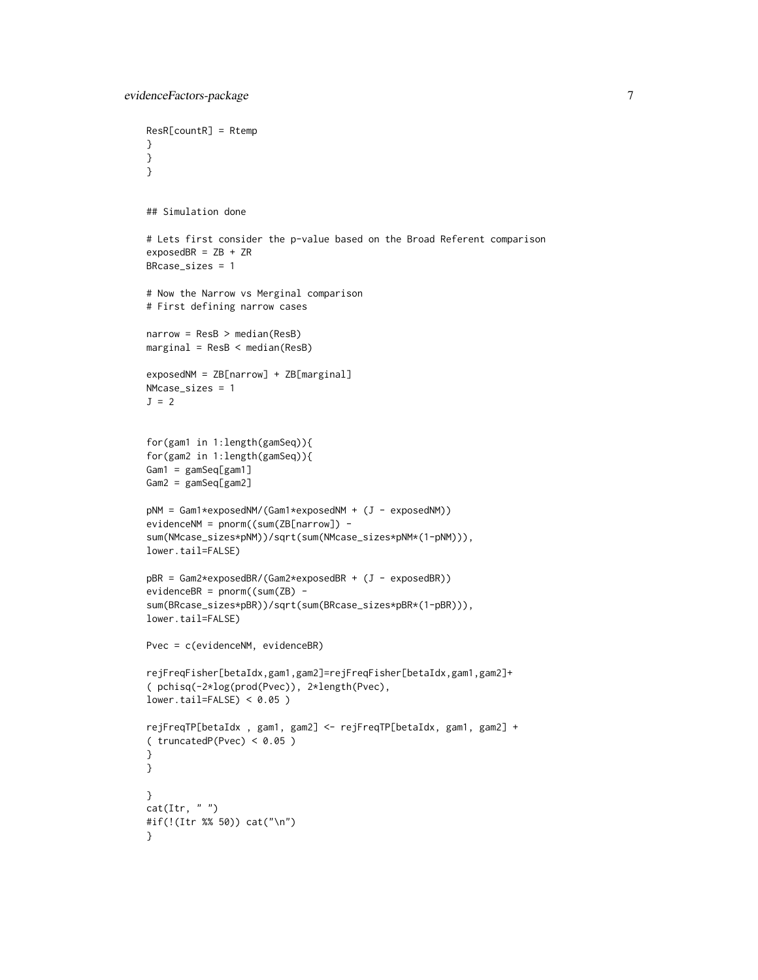```
ResR[countR] = Rtemp
}
}
}
## Simulation done
# Lets first consider the p-value based on the Broad Referent comparison
exposedBR = ZB + ZRBRcase_sizes = 1
# Now the Narrow vs Merginal comparison
# First defining narrow cases
narrow = ResB > median(ResB)
marginal = ResB < median(ResB)
exposedNM = ZB[narrow] + ZB[marginal]
NMcase_sizes = 1
J = 2for(gam1 in 1:length(gamSeq)){
for(gam2 in 1:length(gamSeq)){
Gam1 = gamSeq[gam1]
Gam2 = gamSeq[gam2]
pNM = Gam1*exposedNM/(Gam1*exposedNM + (J - exposedNM))
evidenceNM = pnorm((sum(ZB[narrow]) -
sum(NMcase_sizes*pNM))/sqrt(sum(NMcase_sizes*pNM*(1-pNM))),
lower.tail=FALSE)
pBR = Gam2*exposedBR/(Gam2*exposedBR + (J - exposedBR))
evidenceBR = pnorm((sum(ZB) -
sum(BRcase_sizes*pBR))/sqrt(sum(BRcase_sizes*pBR*(1-pBR))),
lower.tail=FALSE)
Pvec = c(evidenceNM, evidenceBR)
rejFreqFisher[betaIdx,gam1,gam2]=rejFreqFisher[betaIdx,gam1,gam2]+
( pchisq(-2*log(prod(Pvec)), 2*length(Pvec),
lower.tail=FALSE) < 0.05 )
rejFreqTP[betaIdx , gam1, gam2] <- rejFreqTP[betaIdx, gam1, gam2] +
( truncatedP(Pvec) < 0.05)
}
}
}
cat(Itr, "")#if(!(Itr %% 50)) cat("\n")
}
```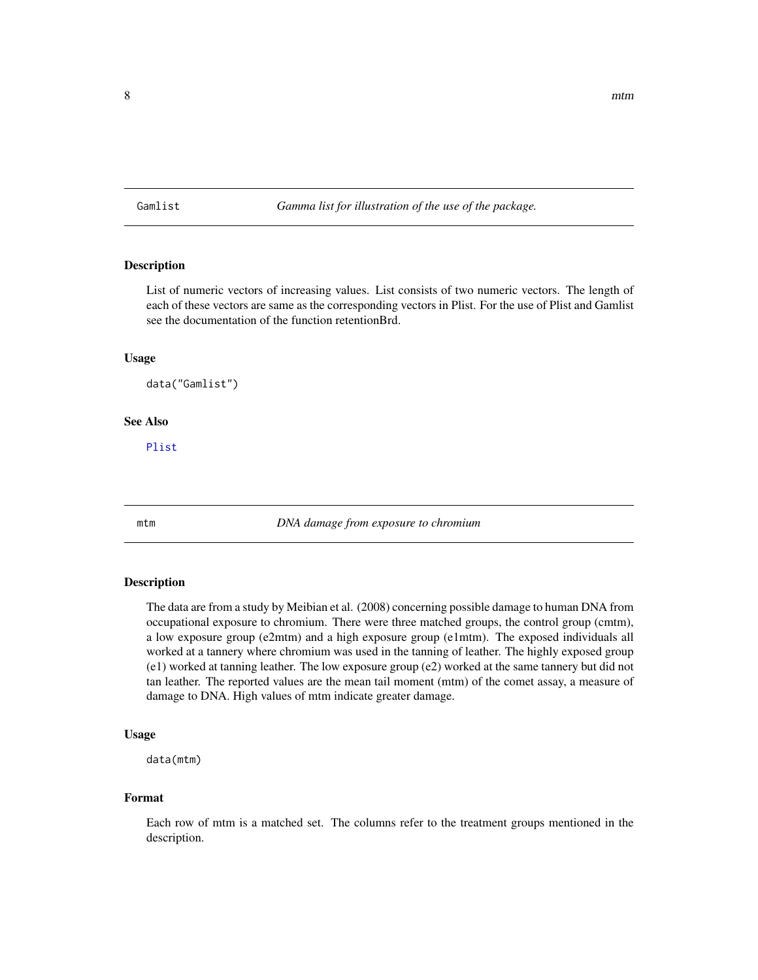<span id="page-7-0"></span>Gamlist *Gamma list for illustration of the use of the package.*

## Description

List of numeric vectors of increasing values. List consists of two numeric vectors. The length of each of these vectors are same as the corresponding vectors in Plist. For the use of Plist and Gamlist see the documentation of the function retentionBrd.

#### Usage

data("Gamlist")

## See Also

[Plist](#page-8-1)

mtm *DNA damage from exposure to chromium*

## Description

The data are from a study by Meibian et al. (2008) concerning possible damage to human DNA from occupational exposure to chromium. There were three matched groups, the control group (cmtm), a low exposure group (e2mtm) and a high exposure group (e1mtm). The exposed individuals all worked at a tannery where chromium was used in the tanning of leather. The highly exposed group (e1) worked at tanning leather. The low exposure group (e2) worked at the same tannery but did not tan leather. The reported values are the mean tail moment (mtm) of the comet assay, a measure of damage to DNA. High values of mtm indicate greater damage.

## Usage

data(mtm)

## Format

Each row of mtm is a matched set. The columns refer to the treatment groups mentioned in the description.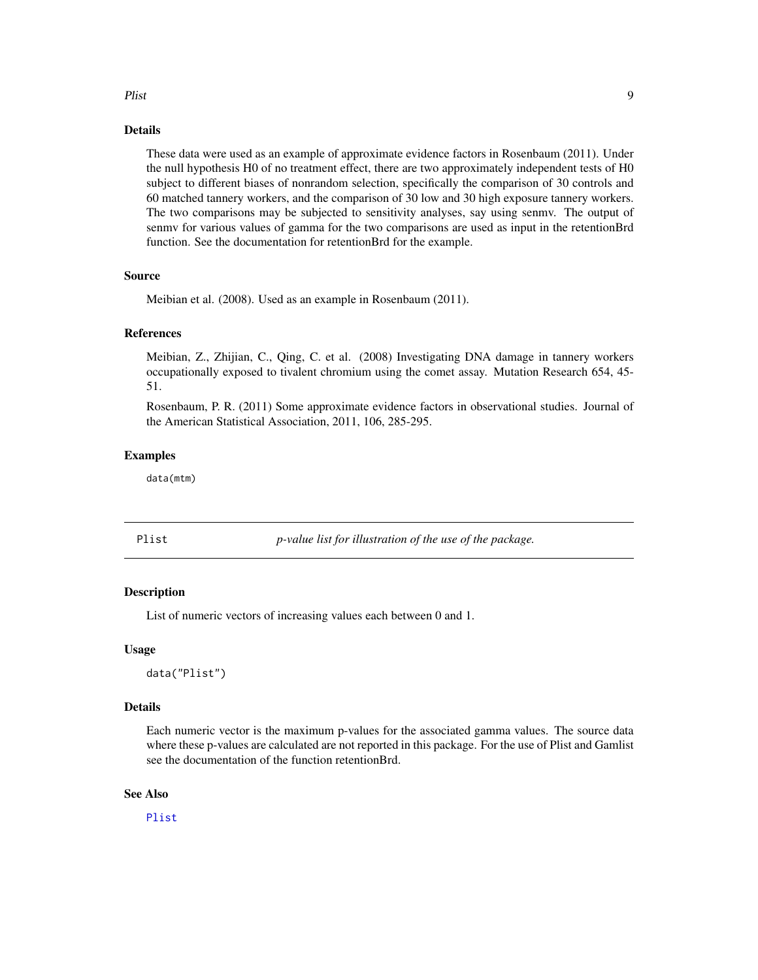#### <span id="page-8-0"></span>Plist 9

## Details

These data were used as an example of approximate evidence factors in Rosenbaum (2011). Under the null hypothesis H0 of no treatment effect, there are two approximately independent tests of H0 subject to different biases of nonrandom selection, specifically the comparison of 30 controls and 60 matched tannery workers, and the comparison of 30 low and 30 high exposure tannery workers. The two comparisons may be subjected to sensitivity analyses, say using senmv. The output of senmv for various values of gamma for the two comparisons are used as input in the retentionBrd function. See the documentation for retentionBrd for the example.

#### Source

Meibian et al. (2008). Used as an example in Rosenbaum (2011).

## References

Meibian, Z., Zhijian, C., Qing, C. et al. (2008) Investigating DNA damage in tannery workers occupationally exposed to tivalent chromium using the comet assay. Mutation Research 654, 45- 51.

Rosenbaum, P. R. (2011) Some approximate evidence factors in observational studies. Journal of the American Statistical Association, 2011, 106, 285-295.

## Examples

data(mtm)

<span id="page-8-1"></span>

Plist *p-value list for illustration of the use of the package.*

## Description

List of numeric vectors of increasing values each between 0 and 1.

#### Usage

data("Plist")

## Details

Each numeric vector is the maximum p-values for the associated gamma values. The source data where these p-values are calculated are not reported in this package. For the use of Plist and Gamlist see the documentation of the function retentionBrd.

## See Also

[Plist](#page-8-1)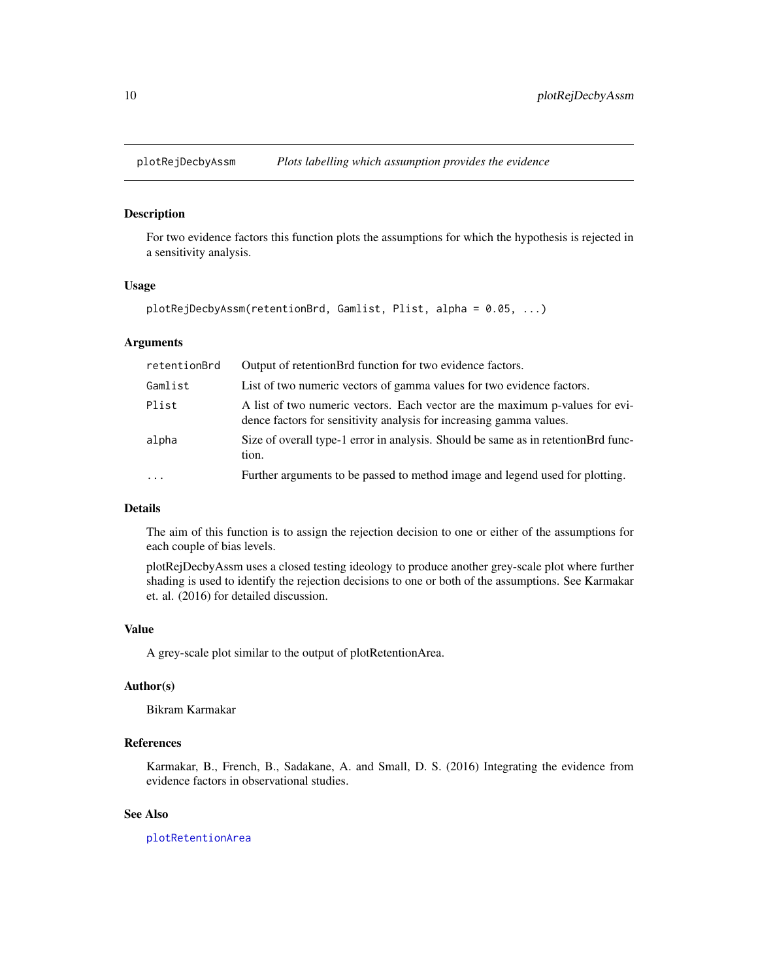<span id="page-9-1"></span><span id="page-9-0"></span>

### Description

For two evidence factors this function plots the assumptions for which the hypothesis is rejected in a sensitivity analysis.

## Usage

```
plotRejDecbyAssm(retentionBrd, Gamlist, Plist, alpha = 0.05, ...)
```
## Arguments

| retentionBrd | Output of retentionBrd function for two evidence factors.                                                                                           |
|--------------|-----------------------------------------------------------------------------------------------------------------------------------------------------|
| Gamlist      | List of two numeric vectors of gamma values for two evidence factors.                                                                               |
| Plist        | A list of two numeric vectors. Each vector are the maximum p-values for evi-<br>dence factors for sensitivity analysis for increasing gamma values. |
| alpha        | Size of overall type-1 error in analysis. Should be same as in retention Brd func-<br>tion.                                                         |
| $\ddots$ .   | Further arguments to be passed to method image and legend used for plotting.                                                                        |

## Details

The aim of this function is to assign the rejection decision to one or either of the assumptions for each couple of bias levels.

plotRejDecbyAssm uses a closed testing ideology to produce another grey-scale plot where further shading is used to identify the rejection decisions to one or both of the assumptions. See Karmakar et. al. (2016) for detailed discussion.

## Value

A grey-scale plot similar to the output of plotRetentionArea.

## Author(s)

Bikram Karmakar

## References

Karmakar, B., French, B., Sadakane, A. and Small, D. S. (2016) Integrating the evidence from evidence factors in observational studies.

## See Also

[plotRetentionArea](#page-10-1)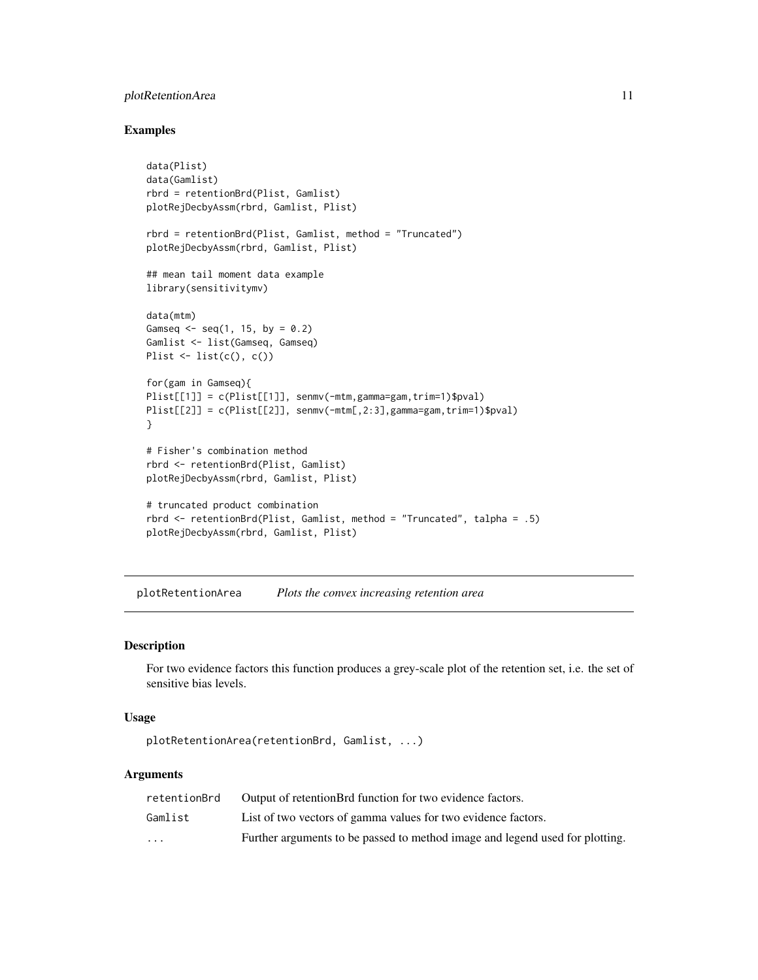## <span id="page-10-0"></span>plotRetentionArea 11

## Examples

```
data(Plist)
data(Gamlist)
rbrd = retentionBrd(Plist, Gamlist)
plotRejDecbyAssm(rbrd, Gamlist, Plist)
rbrd = retentionBrd(Plist, Gamlist, method = "Truncated")
plotRejDecbyAssm(rbrd, Gamlist, Plist)
## mean tail moment data example
library(sensitivitymv)
data(mtm)
Gamseq \leq seq(1, 15, by = 0.2)
Gamlist <- list(Gamseq, Gamseq)
Plist \leftarrow list(c(), c())for(gam in Gamseq){
Plist[[1]] = c(Plist[[1]], senmv(-mtm,gamma=gam,trim=1)$pval)
Plist[[2]] = c(Plist[[2]], senmv(-mtm[,2:3],gamma=gam,trim=1)$pval)
}
# Fisher's combination method
rbrd <- retentionBrd(Plist, Gamlist)
plotRejDecbyAssm(rbrd, Gamlist, Plist)
# truncated product combination
rbrd \le- retentionBrd(Plist, Gamlist, method = "Truncated", talpha = .5)
plotRejDecbyAssm(rbrd, Gamlist, Plist)
```
<span id="page-10-1"></span>plotRetentionArea *Plots the convex increasing retention area*

## Description

For two evidence factors this function produces a grey-scale plot of the retention set, i.e. the set of sensitive bias levels.

## Usage

```
plotRetentionArea(retentionBrd, Gamlist, ...)
```
## Arguments

| retentionBrd            | Output of retentionBrd function for two evidence factors.                    |
|-------------------------|------------------------------------------------------------------------------|
| Gamlist                 | List of two vectors of gamma values for two evidence factors.                |
| $\cdot$ $\cdot$ $\cdot$ | Further arguments to be passed to method image and legend used for plotting. |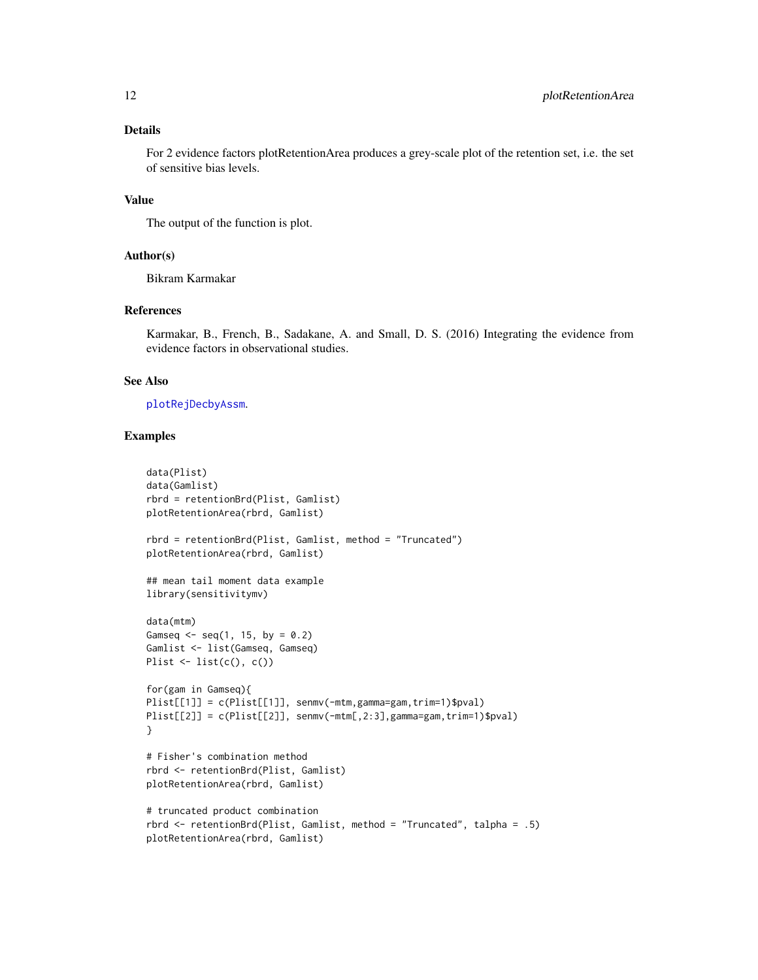## <span id="page-11-0"></span>Details

For 2 evidence factors plotRetentionArea produces a grey-scale plot of the retention set, i.e. the set of sensitive bias levels.

## Value

The output of the function is plot.

## Author(s)

Bikram Karmakar

## References

Karmakar, B., French, B., Sadakane, A. and Small, D. S. (2016) Integrating the evidence from evidence factors in observational studies.

## See Also

#### [plotRejDecbyAssm](#page-9-1).

## Examples

```
data(Plist)
data(Gamlist)
rbrd = retentionBrd(Plist, Gamlist)
plotRetentionArea(rbrd, Gamlist)
rbrd = retentionBrd(Plist, Gamlist, method = "Truncated")
plotRetentionArea(rbrd, Gamlist)
## mean tail moment data example
library(sensitivitymv)
data(mtm)
Gamseq \le seq(1, 15, by = 0.2)
Gamlist <- list(Gamseq, Gamseq)
Plist \leftarrow list(c(), c())for(gam in Gamseq){
Plist[[1]] = c(Plist[[1]], senmv(-mtm,gamma=gam,trim=1)$pval)
Plist[[2]] = c(Plist[[2]], senmv(-mtm[,2:3],gamma=gam,trim=1)$pval)
}
# Fisher's combination method
rbrd <- retentionBrd(Plist, Gamlist)
plotRetentionArea(rbrd, Gamlist)
# truncated product combination
rbrd <- retentionBrd(Plist, Gamlist, method = "Truncated", talpha = .5)
plotRetentionArea(rbrd, Gamlist)
```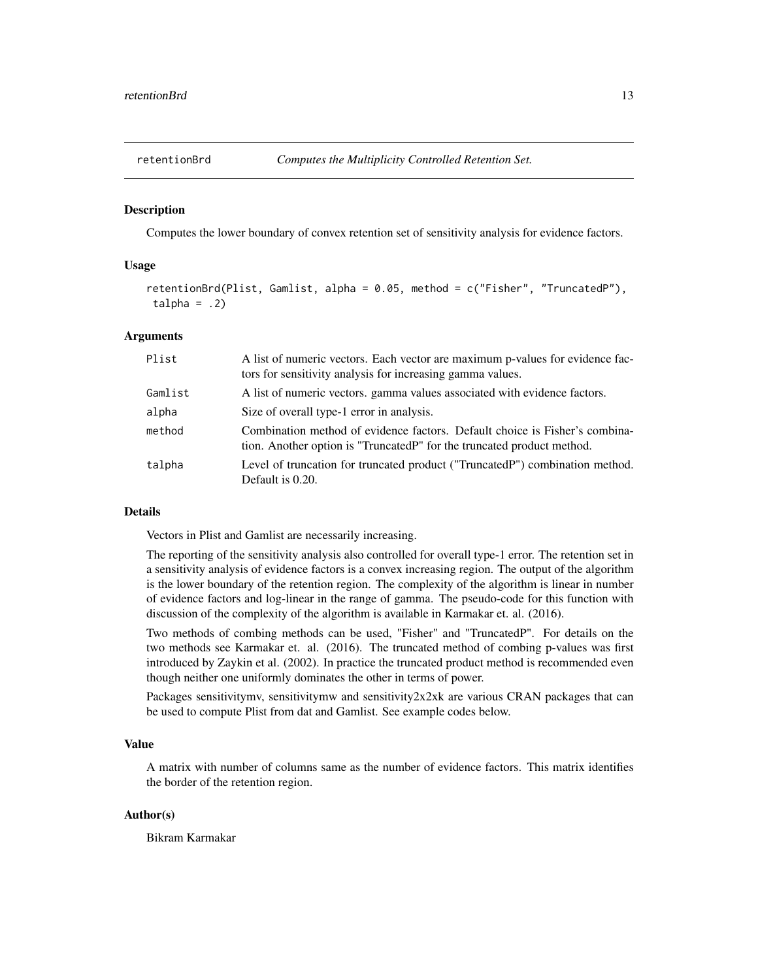<span id="page-12-0"></span>

### Description

Computes the lower boundary of convex retention set of sensitivity analysis for evidence factors.

## Usage

retentionBrd(Plist, Gamlist, alpha =  $0.05$ , method =  $c("Fisher", "TruncatedP").$  $talpha = .2)$ 

## Arguments

| Plist   | A list of numeric vectors. Each vector are maximum p-values for evidence fac-<br>tors for sensitivity analysis for increasing gamma values.            |
|---------|--------------------------------------------------------------------------------------------------------------------------------------------------------|
| Gamlist | A list of numeric vectors, gamma values associated with evidence factors.                                                                              |
| alpha   | Size of overall type-1 error in analysis.                                                                                                              |
| method  | Combination method of evidence factors. Default choice is Fisher's combina-<br>tion. Another option is "Truncated P" for the truncated product method. |
| talpha  | Level of truncation for truncated product ("TruncatedP") combination method.<br>Default is 0.20.                                                       |

#### Details

Vectors in Plist and Gamlist are necessarily increasing.

The reporting of the sensitivity analysis also controlled for overall type-1 error. The retention set in a sensitivity analysis of evidence factors is a convex increasing region. The output of the algorithm is the lower boundary of the retention region. The complexity of the algorithm is linear in number of evidence factors and log-linear in the range of gamma. The pseudo-code for this function with discussion of the complexity of the algorithm is available in Karmakar et. al. (2016).

Two methods of combing methods can be used, "Fisher" and "TruncatedP". For details on the two methods see Karmakar et. al. (2016). The truncated method of combing p-values was first introduced by Zaykin et al. (2002). In practice the truncated product method is recommended even though neither one uniformly dominates the other in terms of power.

Packages sensitivitymv, sensitivitymw and sensitivity2x2xk are various CRAN packages that can be used to compute Plist from dat and Gamlist. See example codes below.

#### Value

A matrix with number of columns same as the number of evidence factors. This matrix identifies the border of the retention region.

## Author(s)

Bikram Karmakar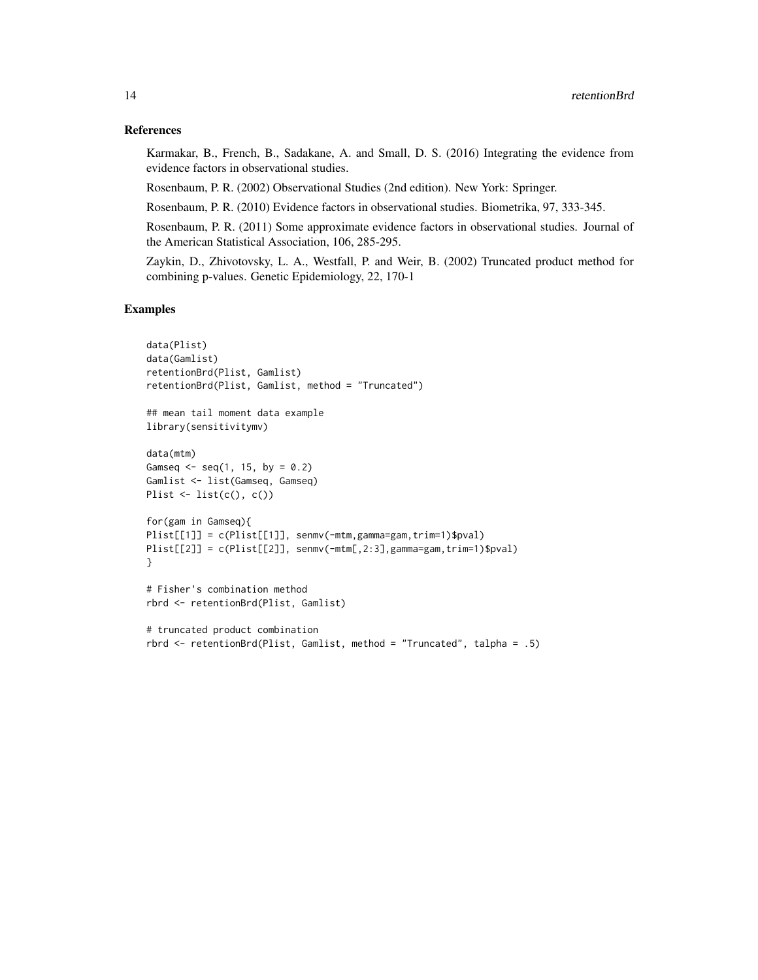## References

Karmakar, B., French, B., Sadakane, A. and Small, D. S. (2016) Integrating the evidence from evidence factors in observational studies.

Rosenbaum, P. R. (2002) Observational Studies (2nd edition). New York: Springer.

Rosenbaum, P. R. (2010) Evidence factors in observational studies. Biometrika, 97, 333-345.

Rosenbaum, P. R. (2011) Some approximate evidence factors in observational studies. Journal of the American Statistical Association, 106, 285-295.

Zaykin, D., Zhivotovsky, L. A., Westfall, P. and Weir, B. (2002) Truncated product method for combining p-values. Genetic Epidemiology, 22, 170-1

## Examples

```
data(Plist)
data(Gamlist)
retentionBrd(Plist, Gamlist)
retentionBrd(Plist, Gamlist, method = "Truncated")
## mean tail moment data example
library(sensitivitymv)
data(mtm)
Gamseq \leq seq(1, 15, by = 0.2)
Gamlist <- list(Gamseq, Gamseq)
Plist \leftarrow list(c(), c()for(gam in Gamseq){
Plist[[1]] = c(Plist[[1]], senmv(-mtm,gamma=gam,trim=1)$pval)
Plist[[2]] = c(Plist[[2]], senmv(-mtm[,2:3],gamma=gam,trim=1)$pval)
}
# Fisher's combination method
rbrd <- retentionBrd(Plist, Gamlist)
# truncated product combination
```
rbrd <- retentionBrd(Plist, Gamlist, method = "Truncated", talpha = .5)